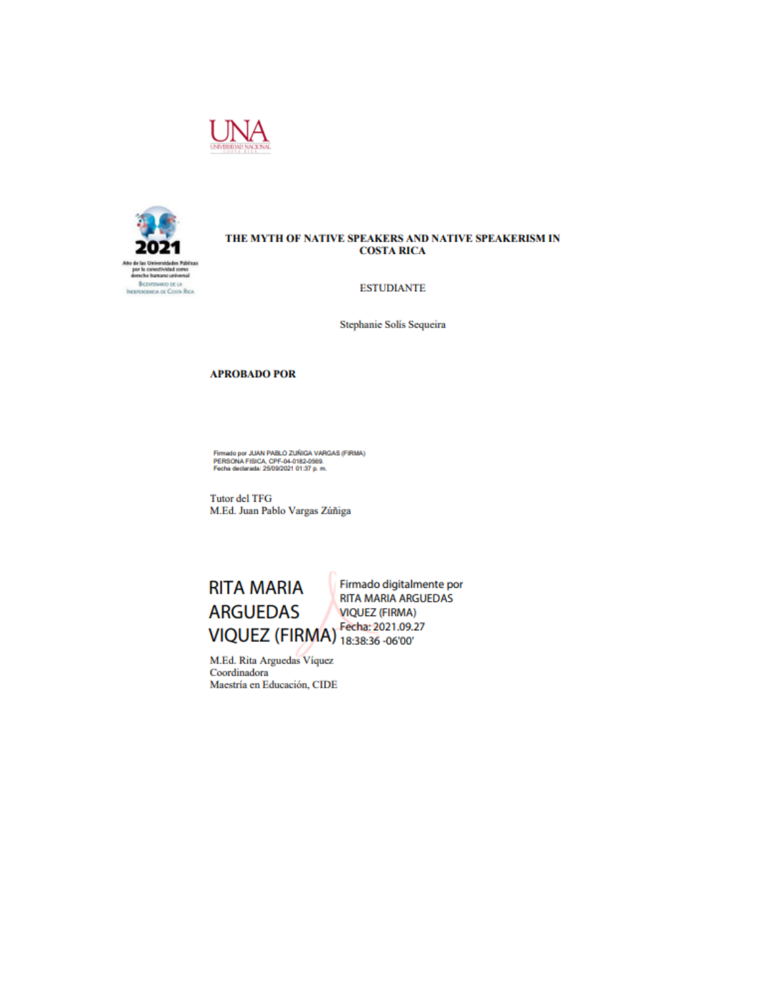



### THE MYTH OF NATIVE SPEAKERS AND NATIVE SPEAKERISM IN **COSTA RICA**

#### **ESTUDIANTE**

Stephanie Solis Sequeira

### **APROBADO POR**

Firmado por JUAN PABLO ZUÑIGA VARGAS (FIRMA)<br>PERSONA FISICA, CPF-04-0182-0569.<br>Fecha dediarada: 25/09/2021 01:37 p. m.

**Tutor del TFG** M.Ed. Juan Pablo Vargas Zúñiga



M.Ed. Rita Arguedas Viquez Coordinadora Maestría en Educación, CIDE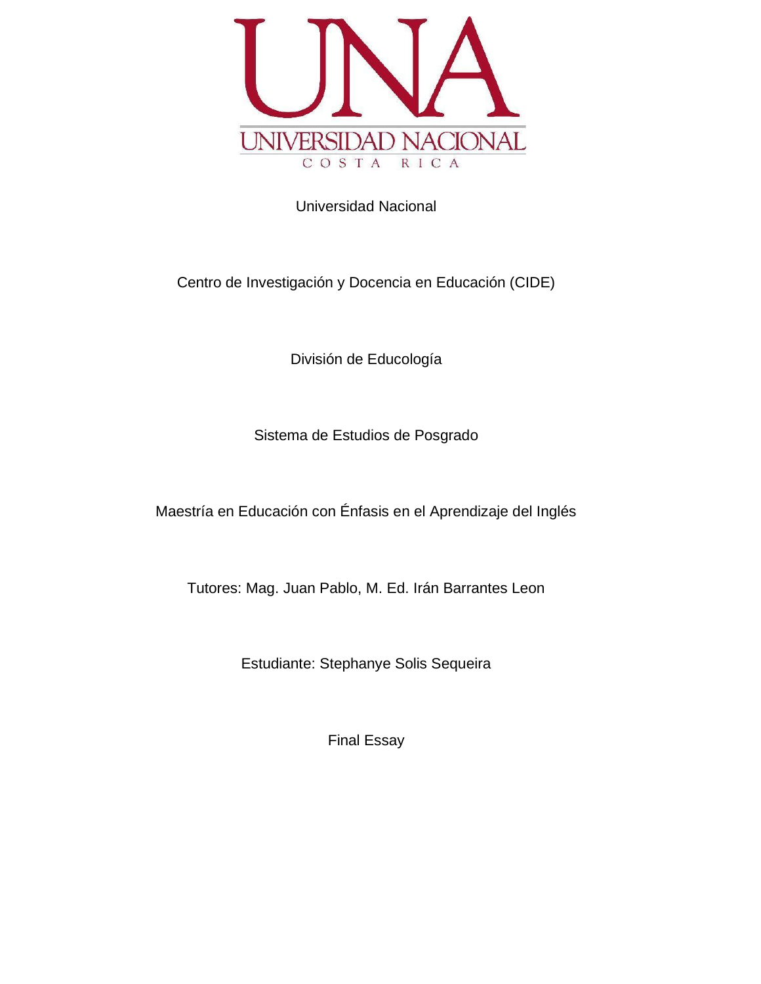

Universidad Nacional

Centro de Investigación y Docencia en Educación (CIDE)

División de Educología

Sistema de Estudios de Posgrado

Maestría en Educación con Énfasis en el Aprendizaje del Inglés

Tutores: Mag. Juan Pablo, M. Ed. Irán Barrantes Leon

Estudiante: Stephanye Solis Sequeira

Final Essay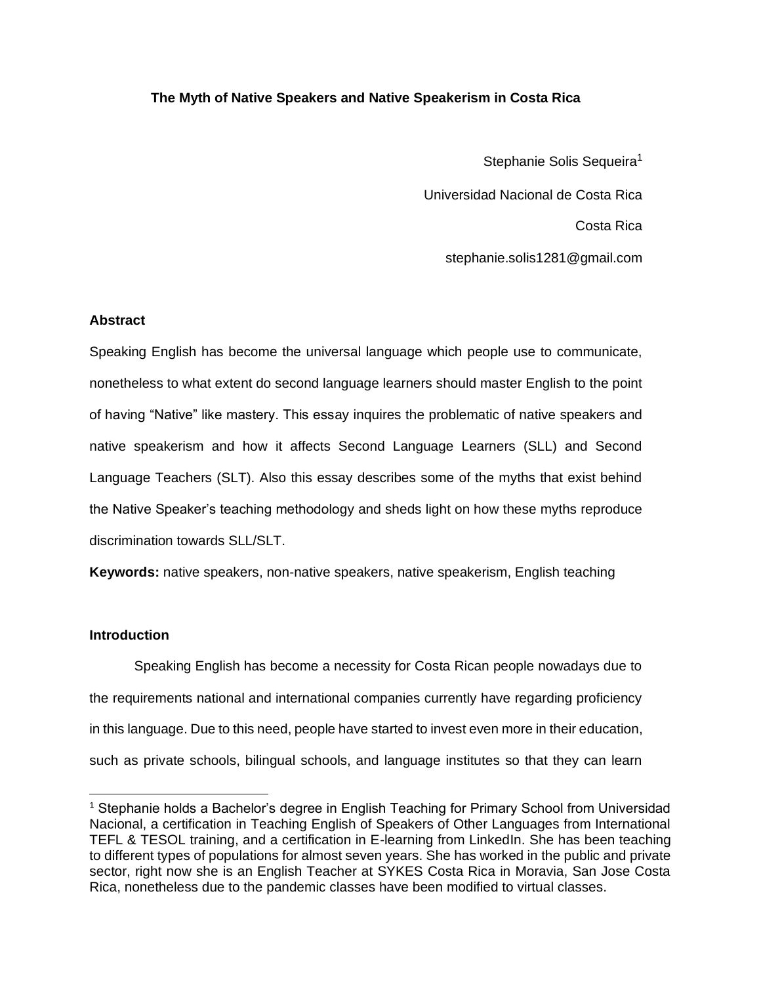# **The Myth of Native Speakers and Native Speakerism in Costa Rica**

Stephanie Solis Sequeira<sup>1</sup> Universidad Nacional de Costa Rica Costa Rica stephanie.solis1281@gmail.com

## **Abstract**

Speaking English has become the universal language which people use to communicate, nonetheless to what extent do second language learners should master English to the point of having "Native" like mastery. This essay inquires the problematic of native speakers and native speakerism and how it affects Second Language Learners (SLL) and Second Language Teachers (SLT). Also this essay describes some of the myths that exist behind the Native Speaker's teaching methodology and sheds light on how these myths reproduce discrimination towards SLL/SLT.

**Keywords:** native speakers, non-native speakers, native speakerism, English teaching

# **Introduction**

 Speaking English has become a necessity for Costa Rican people nowadays due to the requirements national and international companies currently have regarding proficiency in this language. Due to this need, people have started to invest even more in their education, such as private schools, bilingual schools, and language institutes so that they can learn

<sup>&</sup>lt;sup>1</sup> Stephanie holds a Bachelor's degree in English Teaching for Primary School from Universidad Nacional, a certification in Teaching English of Speakers of Other Languages from International TEFL & TESOL training, and a certification in E-learning from LinkedIn. She has been teaching to different types of populations for almost seven years. She has worked in the public and private sector, right now she is an English Teacher at SYKES Costa Rica in Moravia, San Jose Costa Rica, nonetheless due to the pandemic classes have been modified to virtual classes.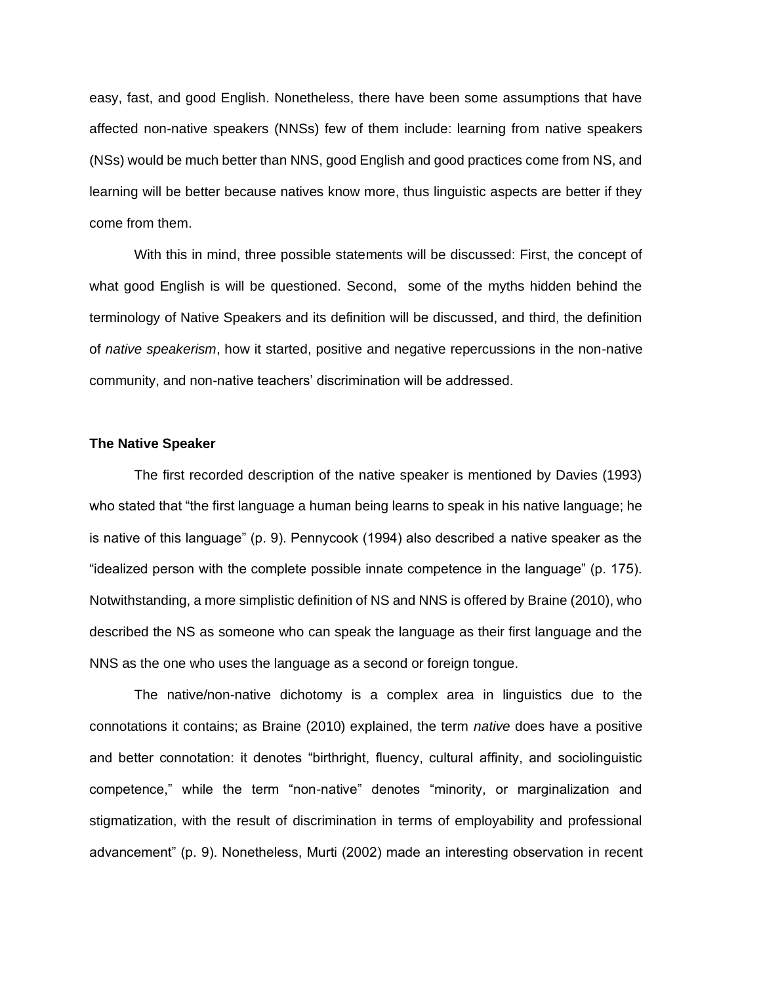easy, fast, and good English. Nonetheless, there have been some assumptions that have affected non-native speakers (NNSs) few of them include: learning from native speakers (NSs) would be much better than NNS, good English and good practices come from NS, and learning will be better because natives know more, thus linguistic aspects are better if they come from them.

With this in mind, three possible statements will be discussed: First, the concept of what good English is will be questioned. Second, some of the myths hidden behind the terminology of Native Speakers and its definition will be discussed, and third, the definition of *native speakerism*, how it started, positive and negative repercussions in the non-native community, and non-native teachers' discrimination will be addressed.

## **The Native Speaker**

The first recorded description of the native speaker is mentioned by Davies (1993) who stated that "the first language a human being learns to speak in his native language; he is native of this language" (p. 9). Pennycook (1994) also described a native speaker as the "idealized person with the complete possible innate competence in the language" (p. 175). Notwithstanding, a more simplistic definition of NS and NNS is offered by Braine (2010), who described the NS as someone who can speak the language as their first language and the NNS as the one who uses the language as a second or foreign tongue.

The native/non-native dichotomy is a complex area in linguistics due to the connotations it contains; as Braine (2010) explained, the term *native* does have a positive and better connotation: it denotes "birthright, fluency, cultural affinity, and sociolinguistic competence," while the term "non-native" denotes "minority, or marginalization and stigmatization, with the result of discrimination in terms of employability and professional advancement" (p. 9). Nonetheless, Murti (2002) made an interesting observation in recent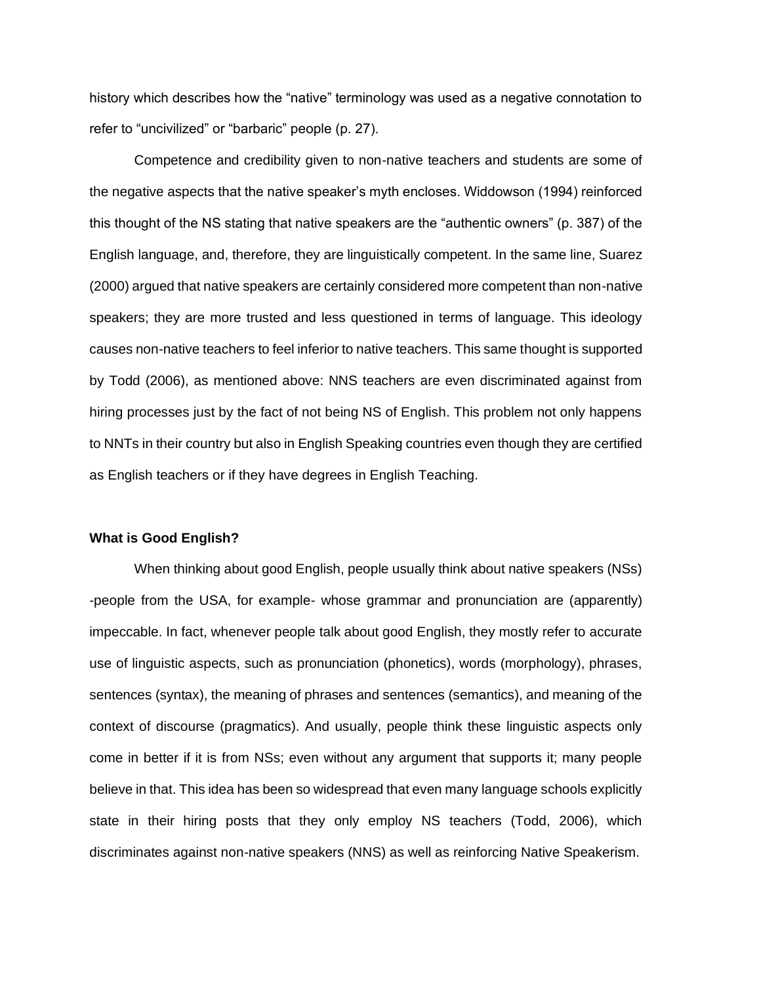history which describes how the "native" terminology was used as a negative connotation to refer to "uncivilized" or "barbaric" people (p. 27).

Competence and credibility given to non-native teachers and students are some of the negative aspects that the native speaker's myth encloses. Widdowson (1994) reinforced this thought of the NS stating that native speakers are the "authentic owners" (p. 387) of the English language, and, therefore, they are linguistically competent. In the same line, Suarez (2000) argued that native speakers are certainly considered more competent than non-native speakers; they are more trusted and less questioned in terms of language. This ideology causes non-native teachers to feel inferior to native teachers. This same thought is supported by Todd (2006), as mentioned above: NNS teachers are even discriminated against from hiring processes just by the fact of not being NS of English. This problem not only happens to NNTs in their country but also in English Speaking countries even though they are certified as English teachers or if they have degrees in English Teaching.

### **What is Good English?**

 When thinking about good English, people usually think about native speakers (NSs) -people from the USA, for example- whose grammar and pronunciation are (apparently) impeccable. In fact, whenever people talk about good English, they mostly refer to accurate use of linguistic aspects, such as pronunciation (phonetics), words (morphology), phrases, sentences (syntax), the meaning of phrases and sentences (semantics), and meaning of the context of discourse (pragmatics). And usually, people think these linguistic aspects only come in better if it is from NSs; even without any argument that supports it; many people believe in that. This idea has been so widespread that even many language schools explicitly state in their hiring posts that they only employ NS teachers (Todd, 2006), which discriminates against non-native speakers (NNS) as well as reinforcing Native Speakerism.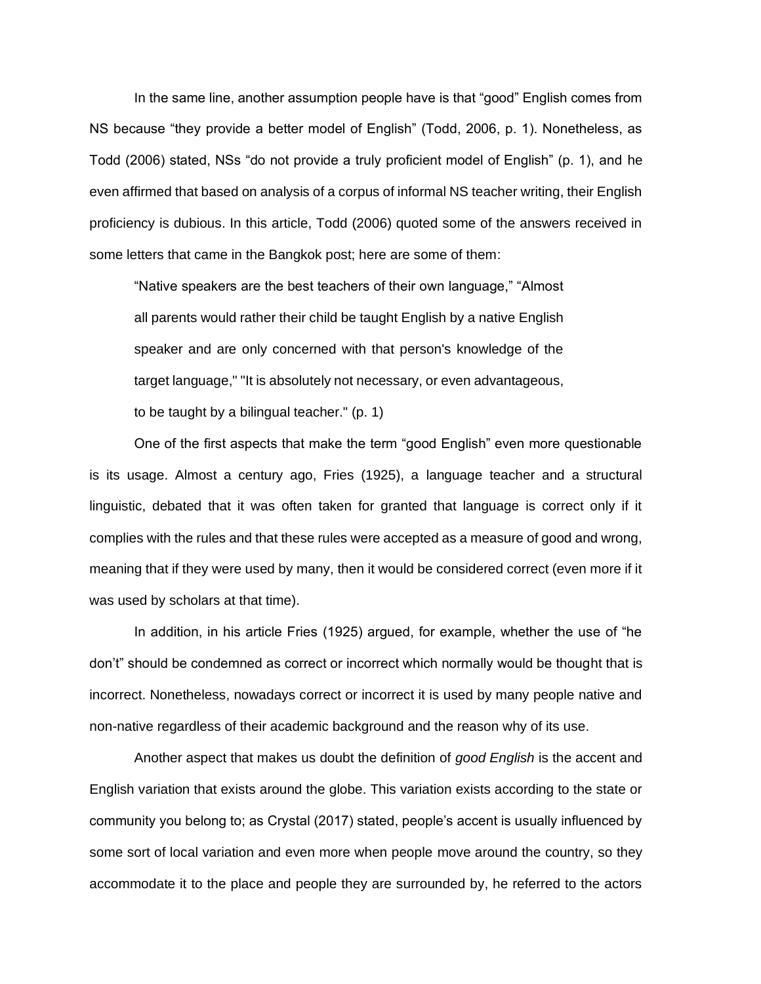In the same line, another assumption people have is that "good" English comes from NS because "they provide a better model of English" (Todd, 2006, p. 1). Nonetheless, as Todd (2006) stated, NSs "do not provide a truly proficient model of English" (p. 1), and he even affirmed that based on analysis of a corpus of informal NS teacher writing, their English proficiency is dubious. In this article, Todd (2006) quoted some of the answers received in some letters that came in the Bangkok post; here are some of them:

"Native speakers are the best teachers of their own language," "Almost all parents would rather their child be taught English by a native English speaker and are only concerned with that person's knowledge of the target language," "It is absolutely not necessary, or even advantageous, to be taught by a bilingual teacher." (p. 1)

One of the first aspects that make the term "good English" even more questionable is its usage. Almost a century ago, Fries (1925), a language teacher and a structural linguistic, debated that it was often taken for granted that language is correct only if it complies with the rules and that these rules were accepted as a measure of good and wrong, meaning that if they were used by many, then it would be considered correct (even more if it was used by scholars at that time).

In addition, in his article Fries (1925) argued, for example, whether the use of "he don't" should be condemned as correct or incorrect which normally would be thought that is incorrect. Nonetheless, nowadays correct or incorrect it is used by many people native and non-native regardless of their academic background and the reason why of its use.

Another aspect that makes us doubt the definition of *good English* is the accent and English variation that exists around the globe. This variation exists according to the state or community you belong to; as Crystal (2017) stated, people's accent is usually influenced by some sort of local variation and even more when people move around the country, so they accommodate it to the place and people they are surrounded by, he referred to the actors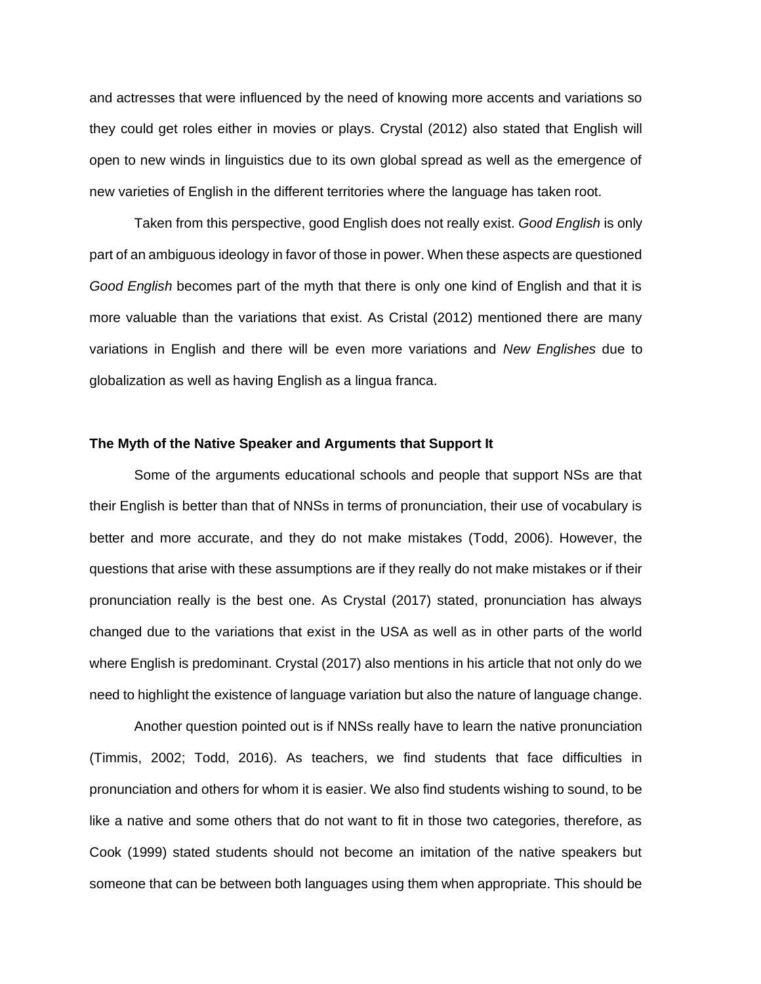and actresses that were influenced by the need of knowing more accents and variations so they could get roles either in movies or plays. Crystal (2012) also stated that English will open to new winds in linguistics due to its own global spread as well as the emergence of new varieties of English in the different territories where the language has taken root.

Taken from this perspective, good English does not really exist. *Good English* is only part of an ambiguous ideology in favor of those in power. When these aspects are questioned *Good English* becomes part of the myth that there is only one kind of English and that it is more valuable than the variations that exist. As Cristal (2012) mentioned there are many variations in English and there will be even more variations and *New Englishes* due to globalization as well as having English as a lingua franca.

## **The Myth of the Native Speaker and Arguments that Support It**

Some of the arguments educational schools and people that support NSs are that their English is better than that of NNSs in terms of pronunciation, their use of vocabulary is better and more accurate, and they do not make mistakes (Todd, 2006). However, the questions that arise with these assumptions are if they really do not make mistakes or if their pronunciation really is the best one. As Crystal (2017) stated, pronunciation has always changed due to the variations that exist in the USA as well as in other parts of the world where English is predominant. Crystal (2017) also mentions in his article that not only do we need to highlight the existence of language variation but also the nature of language change.

Another question pointed out is if NNSs really have to learn the native pronunciation (Timmis, 2002; Todd, 2016). As teachers, we find students that face difficulties in pronunciation and others for whom it is easier. We also find students wishing to sound, to be like a native and some others that do not want to fit in those two categories, therefore, as Cook (1999) stated students should not become an imitation of the native speakers but someone that can be between both languages using them when appropriate. This should be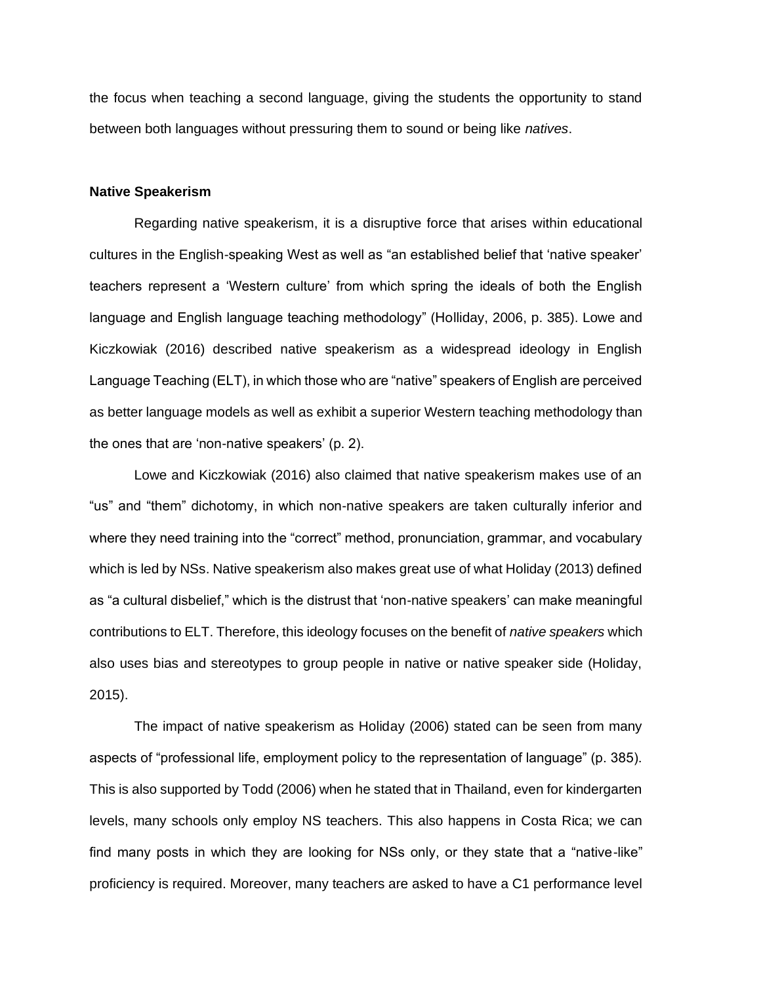the focus when teaching a second language, giving the students the opportunity to stand between both languages without pressuring them to sound or being like *natives*.

## **Native Speakerism**

Regarding native speakerism, it is a disruptive force that arises within educational cultures in the English-speaking West as well as "an established belief that 'native speaker' teachers represent a 'Western culture' from which spring the ideals of both the English language and English language teaching methodology" (Holliday, 2006, p. 385). Lowe and Kiczkowiak (2016) described native speakerism as a widespread ideology in English Language Teaching (ELT), in which those who are "native" speakers of English are perceived as better language models as well as exhibit a superior Western teaching methodology than the ones that are 'non-native speakers' (p. 2).

Lowe and Kiczkowiak (2016) also claimed that native speakerism makes use of an "us" and "them" dichotomy, in which non-native speakers are taken culturally inferior and where they need training into the "correct" method, pronunciation, grammar, and vocabulary which is led by NSs. Native speakerism also makes great use of what Holiday (2013) defined as "a cultural disbelief," which is the distrust that 'non-native speakers' can make meaningful contributions to ELT. Therefore, this ideology focuses on the benefit of *native speakers* which also uses bias and stereotypes to group people in native or native speaker side (Holiday, 2015).

The impact of native speakerism as Holiday (2006) stated can be seen from many aspects of "professional life, employment policy to the representation of language" (p. 385). This is also supported by Todd (2006) when he stated that in Thailand, even for kindergarten levels, many schools only employ NS teachers. This also happens in Costa Rica; we can find many posts in which they are looking for NSs only, or they state that a "native-like" proficiency is required. Moreover, many teachers are asked to have a C1 performance level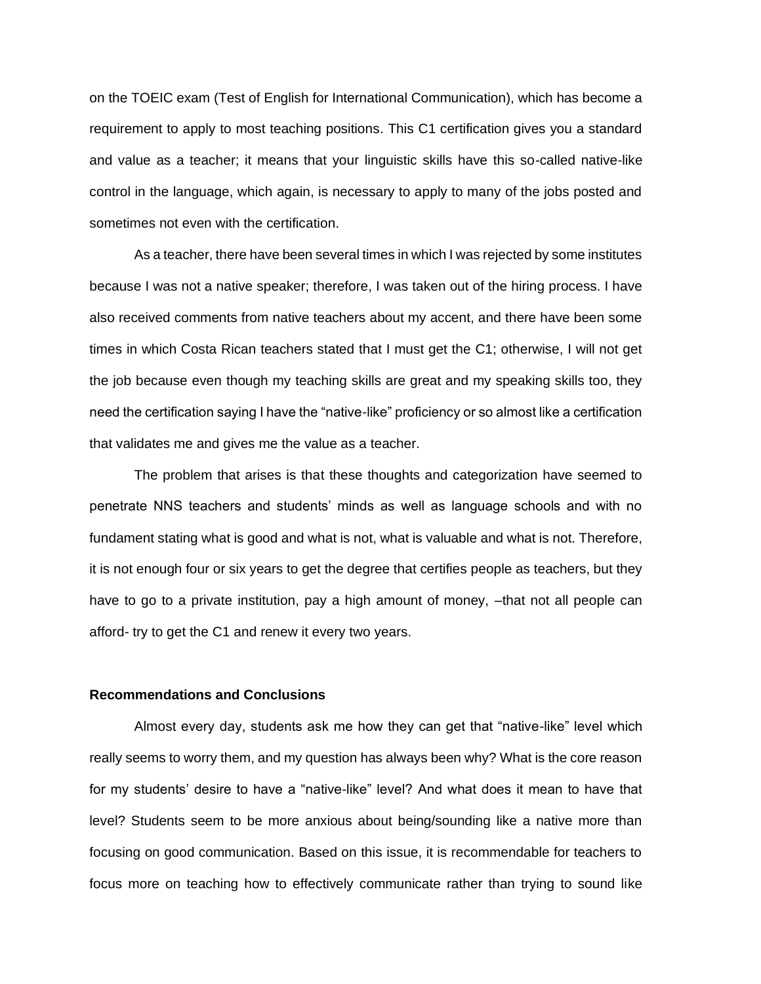on the TOEIC exam (Test of English for International Communication), which has become a requirement to apply to most teaching positions. This C1 certification gives you a standard and value as a teacher; it means that your linguistic skills have this so-called native-like control in the language, which again, is necessary to apply to many of the jobs posted and sometimes not even with the certification.

As a teacher, there have been several times in which I was rejected by some institutes because I was not a native speaker; therefore, I was taken out of the hiring process. I have also received comments from native teachers about my accent, and there have been some times in which Costa Rican teachers stated that I must get the C1; otherwise, I will not get the job because even though my teaching skills are great and my speaking skills too, they need the certification saying I have the "native-like" proficiency or so almost like a certification that validates me and gives me the value as a teacher.

The problem that arises is that these thoughts and categorization have seemed to penetrate NNS teachers and students' minds as well as language schools and with no fundament stating what is good and what is not, what is valuable and what is not. Therefore, it is not enough four or six years to get the degree that certifies people as teachers, but they have to go to a private institution, pay a high amount of money, -that not all people can afford- try to get the C1 and renew it every two years.

## **Recommendations and Conclusions**

Almost every day, students ask me how they can get that "native-like" level which really seems to worry them, and my question has always been why? What is the core reason for my students' desire to have a "native-like" level? And what does it mean to have that level? Students seem to be more anxious about being/sounding like a native more than focusing on good communication. Based on this issue, it is recommendable for teachers to focus more on teaching how to effectively communicate rather than trying to sound like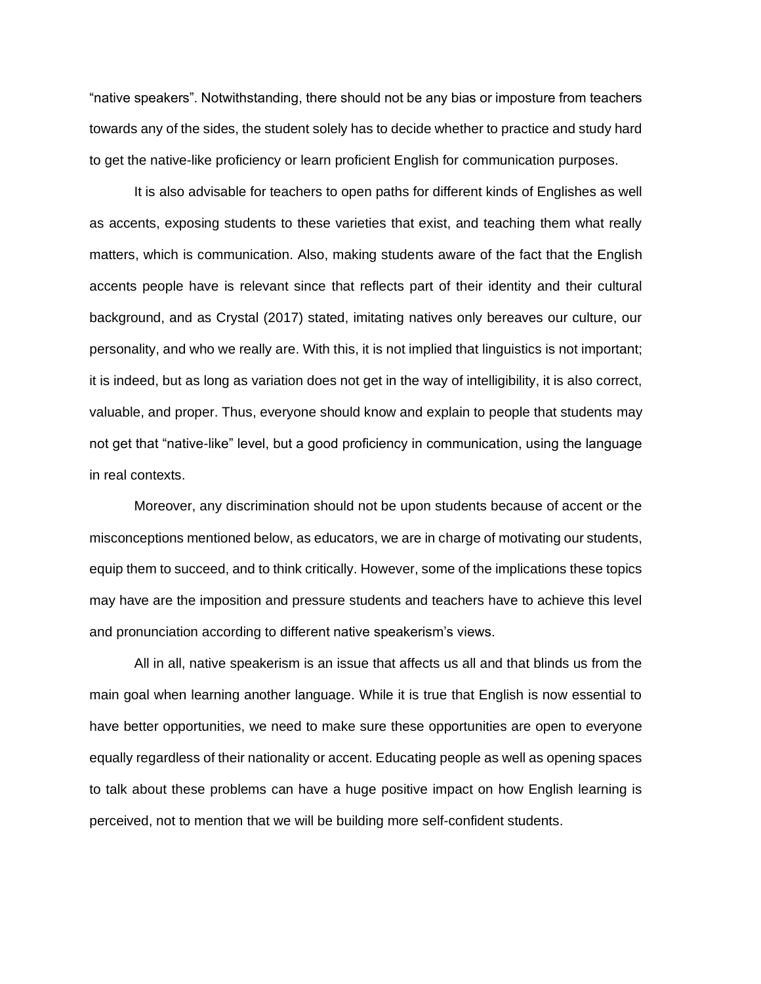"native speakers". Notwithstanding, there should not be any bias or imposture from teachers towards any of the sides, the student solely has to decide whether to practice and study hard to get the native-like proficiency or learn proficient English for communication purposes.

It is also advisable for teachers to open paths for different kinds of Englishes as well as accents, exposing students to these varieties that exist, and teaching them what really matters, which is communication. Also, making students aware of the fact that the English accents people have is relevant since that reflects part of their identity and their cultural background, and as Crystal (2017) stated, imitating natives only bereaves our culture, our personality, and who we really are. With this, it is not implied that linguistics is not important; it is indeed, but as long as variation does not get in the way of intelligibility, it is also correct, valuable, and proper. Thus, everyone should know and explain to people that students may not get that "native-like" level, but a good proficiency in communication, using the language in real contexts.

Moreover, any discrimination should not be upon students because of accent or the misconceptions mentioned below, as educators, we are in charge of motivating our students, equip them to succeed, and to think critically. However, some of the implications these topics may have are the imposition and pressure students and teachers have to achieve this level and pronunciation according to different native speakerism's views.

All in all, native speakerism is an issue that affects us all and that blinds us from the main goal when learning another language. While it is true that English is now essential to have better opportunities, we need to make sure these opportunities are open to everyone equally regardless of their nationality or accent. Educating people as well as opening spaces to talk about these problems can have a huge positive impact on how English learning is perceived, not to mention that we will be building more self-confident students.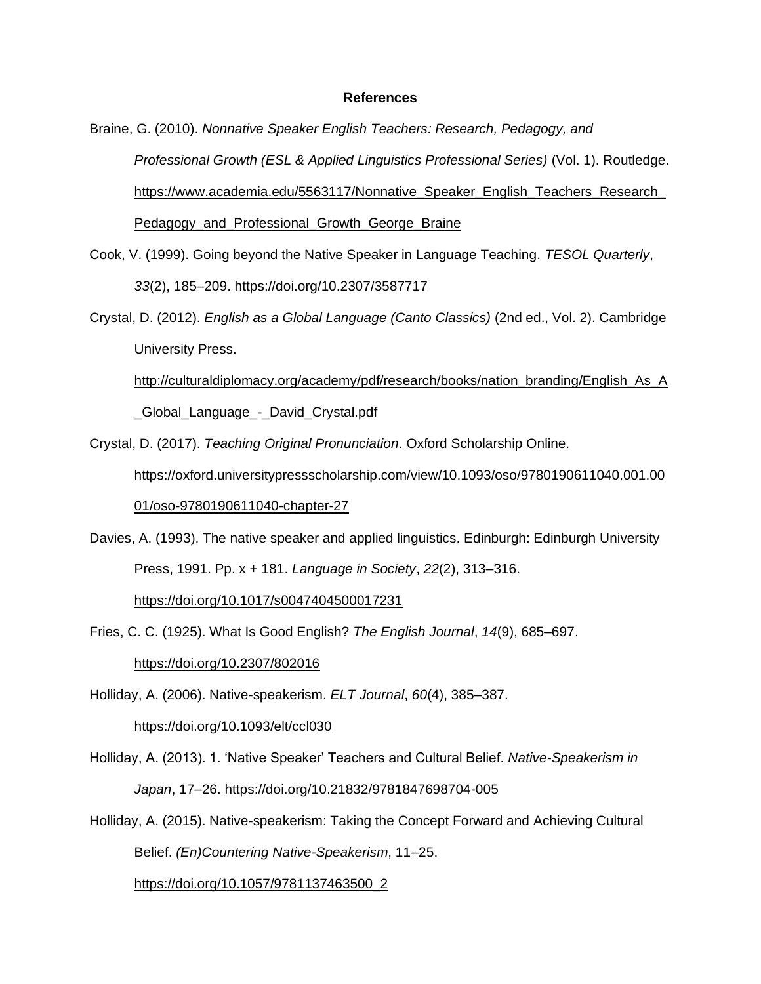### **References**

- Braine, G. (2010). *Nonnative Speaker English Teachers: Research, Pedagogy, and Professional Growth (ESL & Applied Linguistics Professional Series)* (Vol. 1). Routledge. [https://www.academia.edu/5563117/Nonnative\\_Speaker\\_English\\_Teachers\\_Research\\_](https://www.academia.edu/5563117/Nonnative_Speaker_English_Teachers_Research_Pedagogy_and_Professional_Growth_George_Braine) Pedagogy and Professional Growth George Braine
- Cook, V. (1999). Going beyond the Native Speaker in Language Teaching. *TESOL Quarterly*, *33*(2), 185–209.<https://doi.org/10.2307/3587717>
- Crystal, D. (2012). *English as a Global Language (Canto Classics)* (2nd ed., Vol. 2). Cambridge University Press.

[http://culturaldiplomacy.org/academy/pdf/research/books/nation\\_branding/English\\_As\\_A](http://culturaldiplomacy.org/academy/pdf/research/books/nation_branding/English_As_A_Global_Language_-_David_Crystal.pdf) Global Language - David Crystal.pdf

Crystal, D. (2017). *Teaching Original Pronunciation*. Oxford Scholarship Online.

[https://oxford.universitypressscholarship.com/view/10.1093/oso/9780190611040.001.00](https://oxford.universitypressscholarship.com/view/10.1093/oso/9780190611040.001.0001/oso-9780190611040-chapter-27) [01/oso-9780190611040-chapter-27](https://oxford.universitypressscholarship.com/view/10.1093/oso/9780190611040.001.0001/oso-9780190611040-chapter-27)

Davies, A. (1993). The native speaker and applied linguistics. Edinburgh: Edinburgh University Press, 1991. Pp. x + 181. *Language in Society*, *22*(2), 313–316.

<https://doi.org/10.1017/s0047404500017231>

Fries, C. C. (1925). What Is Good English? *The English Journal*, *14*(9), 685–697.

<https://doi.org/10.2307/802016>

Holliday, A. (2006). Native-speakerism. *ELT Journal*, *60*(4), 385–387.

<https://doi.org/10.1093/elt/ccl030>

- Holliday, A. (2013). 1. 'Native Speaker' Teachers and Cultural Belief. *Native-Speakerism in Japan*, 17–26.<https://doi.org/10.21832/9781847698704-005>
- Holliday, A. (2015). Native-speakerism: Taking the Concept Forward and Achieving Cultural Belief. *(En)Countering Native-Speakerism*, 11–25.

[https://doi.org/10.1057/9781137463500\\_2](https://doi.org/10.1057/9781137463500_2)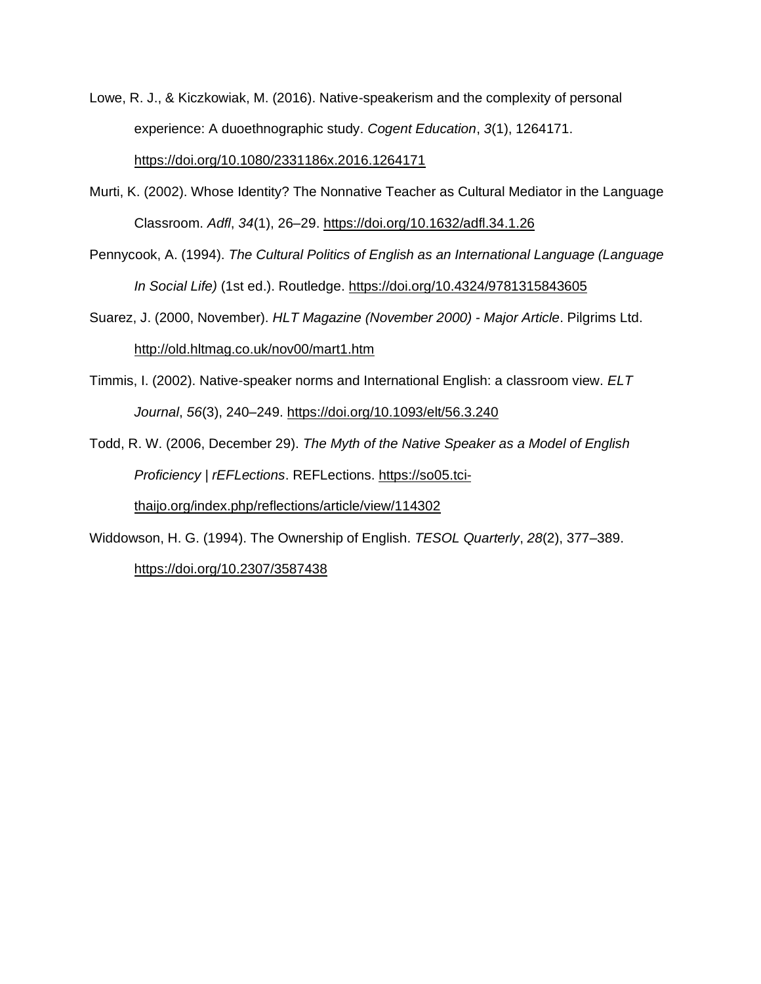- Lowe, R. J., & Kiczkowiak, M. (2016). Native-speakerism and the complexity of personal experience: A duoethnographic study. *Cogent Education*, *3*(1), 1264171. <https://doi.org/10.1080/2331186x.2016.1264171>
- Murti, K. (2002). Whose Identity? The Nonnative Teacher as Cultural Mediator in the Language Classroom. *Adfl*, *34*(1), 26–29.<https://doi.org/10.1632/adfl.34.1.26>
- Pennycook, A. (1994). *The Cultural Politics of English as an International Language (Language In Social Life)* (1st ed.). Routledge.<https://doi.org/10.4324/9781315843605>
- Suarez, J. (2000, November). *HLT Magazine (November 2000) - Major Article*. Pilgrims Ltd. <http://old.hltmag.co.uk/nov00/mart1.htm>
- Timmis, I. (2002). Native-speaker norms and International English: a classroom view. *ELT Journal*, *56*(3), 240–249.<https://doi.org/10.1093/elt/56.3.240>
- Todd, R. W. (2006, December 29). *The Myth of the Native Speaker as a Model of English Proficiency | rEFLections*. REFLections. [https://so05.tci](https://so05.tci-thaijo.org/index.php/reflections/article/view/114302)[thaijo.org/index.php/reflections/article/view/114302](https://so05.tci-thaijo.org/index.php/reflections/article/view/114302)
- Widdowson, H. G. (1994). The Ownership of English. *TESOL Quarterly*, *28*(2), 377–389.

<https://doi.org/10.2307/3587438>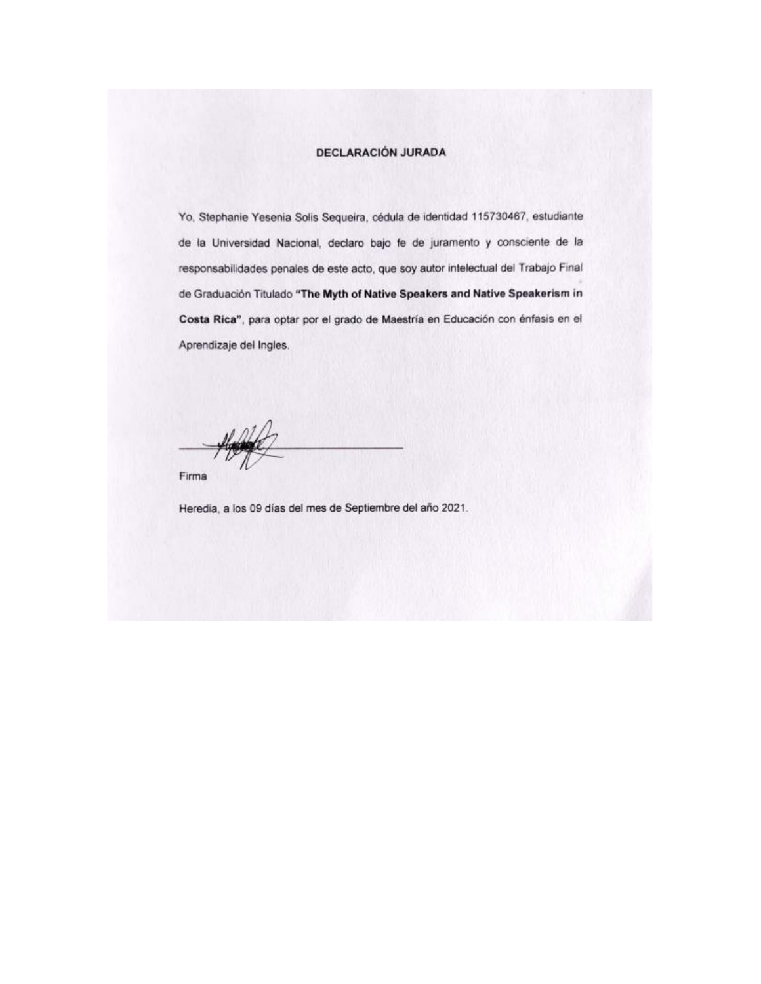## **DECLARACIÓN JURADA**

Yo, Stephanie Yesenia Solis Sequeira, cédula de identidad 115730467, estudiante de la Universidad Nacional, declaro bajo fe de juramento y consciente de la responsabilidades penales de este acto, que soy autor intelectual del Trabajo Final de Graduación Titulado "The Myth of Native Speakers and Native Speakerism in Costa Rica", para optar por el grado de Maestría en Educación con énfasis en el Aprendizaje del Ingles.

Firma

Heredia, a los 09 días del mes de Septiembre del año 2021.